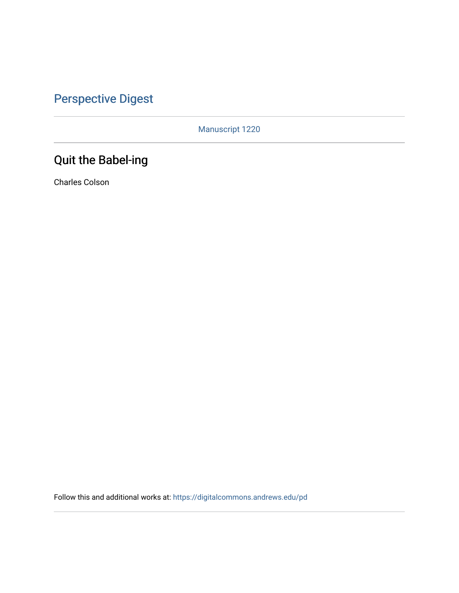## [Perspective Digest](https://digitalcommons.andrews.edu/pd)

Manuscript 1220

## Quit the Babel-ing

Charles Colson

Follow this and additional works at: [https://digitalcommons.andrews.edu/pd](https://digitalcommons.andrews.edu/pd?utm_source=digitalcommons.andrews.edu%2Fpd%2Fvol1%2Fiss3%2F9&utm_medium=PDF&utm_campaign=PDFCoverPages)